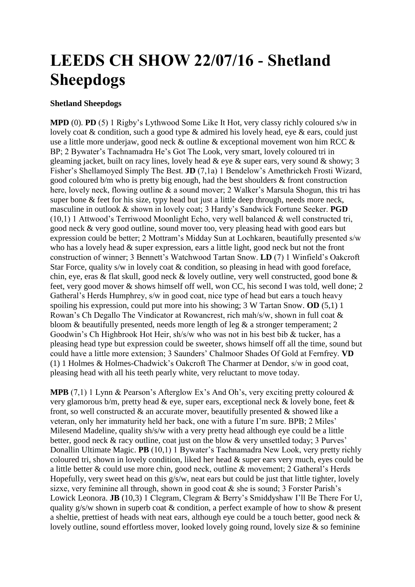## **LEEDS CH SHOW 22/07/16 - Shetland Sheepdogs**

## **Shetland Sheepdogs**

**MPD** (0). **PD** (5) 1 Rigby's Lythwood Some Like It Hot, very classy richly coloured s/w in lovely coat & condition, such a good type & admired his lovely head, eye & ears, could just use a little more underjaw, good neck & outline & exceptional movement won him RCC & BP; 2 Bywater's Tachnamadra He's Got The Look, very smart, lovely coloured tri in gleaming jacket, built on racy lines, lovely head  $\&$  eye  $\&$  super ears, very sound  $\&$  showy; 3 Fisher's Shellamoyed Simply The Best. **JD** (7,1a) 1 Bendelow's Amethrickeh Frosti Wizard, good coloured b/m who is pretty big enough, had the best shoulders & front construction here, lovely neck, flowing outline & a sound mover; 2 Walker's Marsula Shogun, this tri has super bone & feet for his size, typy head but just a little deep through, needs more neck, masculine in outlook & shown in lovely coat; 3 Hardy's Sandwick Fortune Seeker. **PGD**  (10,1) 1 Attwood's Terriwood Moonlight Echo, very well balanced & well constructed tri, good neck & very good outline, sound mover too, very pleasing head with good ears but expression could be better; 2 Mottram's Midday Sun at Lochkaren, beautifully presented s/w who has a lovely head & super expression, ears a little light, good neck but not the front construction of winner; 3 Bennett's Watchwood Tartan Snow. **LD** (7) 1 Winfield's Oakcroft Star Force, quality s/w in lovely coat & condition, so pleasing in head with good foreface, chin, eye, eras & flat skull, good neck & lovely outline, very well constructed, good bone & feet, very good mover & shows himself off well, won CC, his second I was told, well done; 2 Gatheral's Herds Humphrey, s/w in good coat, nice type of head but ears a touch heavy spoiling his expression, could put more into his showing; 3 W Tartan Snow. **OD** (5,1) 1 Rowan's Ch Degallo The Vindicator at Rowancrest, rich mah/s/w, shown in full coat & bloom  $\&$  beautifully presented, needs more length of leg  $\&$  a stronger temperament; 2 Goodwin's Ch Highbrook Hot Heir, sh/s/w who was not in his best bib & tucker, has a pleasing head type but expression could be sweeter, shows himself off all the time, sound but could have a little more extension; 3 Saunders' Chalmoor Shades Of Gold at Fernfrey. **VD**  (1) 1 Holmes & Holmes-Chadwick's Oakcroft The Charmer at Dendor, s/w in good coat, pleasing head with all his teeth pearly white, very reluctant to move today.

**MPB** (7,1) 1 Lynn & Pearson's Afterglow Ex's And Oh's, very exciting pretty coloured & very glamorous b/m, pretty head  $\&$  eye, super ears, exceptional neck  $\&$  lovely bone, feet  $\&$ front, so well constructed  $\&$  an accurate mover, beautifully presented  $\&$  showed like a veteran, only her immaturity held her back, one with a future I'm sure. BPB; 2 Miles' Milesend Madeline, quality sh/s/w with a very pretty head although eye could be a little better, good neck & racy outline, coat just on the blow & very unsettled today; 3 Purves' Donallin Ultimate Magic. **PB** (10,1) 1 Bywater's Tachnamadra New Look, very pretty richly coloured tri, shown in lovely condition, liked her head & super ears very much, eyes could be a little better & could use more chin, good neck, outline & movement; 2 Gatheral's Herds Hopefully, very sweet head on this  $g/s/w$ , neat ears but could be just that little tighter, lovely sizxe, very feminine all through, shown in good coat & she is sound; 3 Forster Parish's Lowick Leonora. **JB** (10,3) 1 Clegram, Clegram & Berry's Smiddyshaw I'll Be There For U, quality g/s/w shown in superb coat & condition, a perfect example of how to show & present a sheltie, prettiest of heads with neat ears, although eye could be a touch better, good neck & lovely outline, sound effortless mover, looked lovely going round, lovely size & so feminine